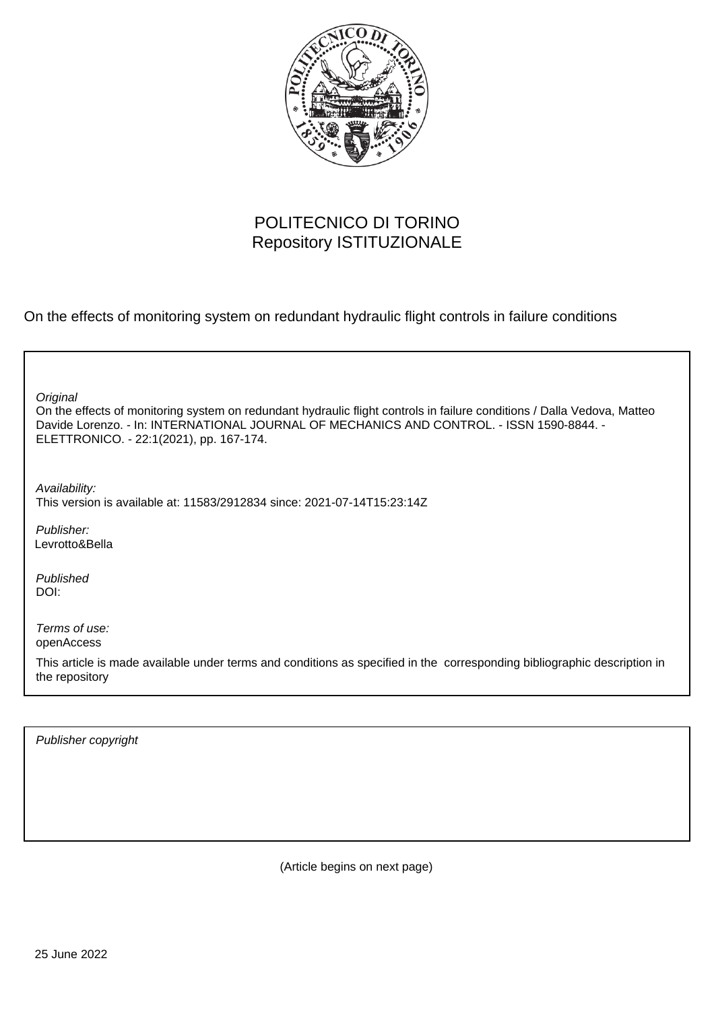

# POLITECNICO DI TORINO Repository ISTITUZIONALE

On the effects of monitoring system on redundant hydraulic flight controls in failure conditions

| Original<br>On the effects of monitoring system on redundant hydraulic flight controls in failure conditions / Dalla Vedova, Matteo<br>Davide Lorenzo. - In: INTERNATIONAL JOURNAL OF MECHANICS AND CONTROL. - ISSN 1590-8844. -<br>ELETTRONICO. - 22:1(2021), pp. 167-174. |
|-----------------------------------------------------------------------------------------------------------------------------------------------------------------------------------------------------------------------------------------------------------------------------|
| Availability:<br>This version is available at: 11583/2912834 since: 2021-07-14T15:23:14Z                                                                                                                                                                                    |
| Publisher:<br>Levrotto&Bella                                                                                                                                                                                                                                                |
| Published<br>DOI:                                                                                                                                                                                                                                                           |
| Terms of use:<br>openAccess                                                                                                                                                                                                                                                 |
| This article is made available under terms and conditions as specified in the corresponding bibliographic description in<br>the repository                                                                                                                                  |
|                                                                                                                                                                                                                                                                             |

Publisher copyright

(Article begins on next page)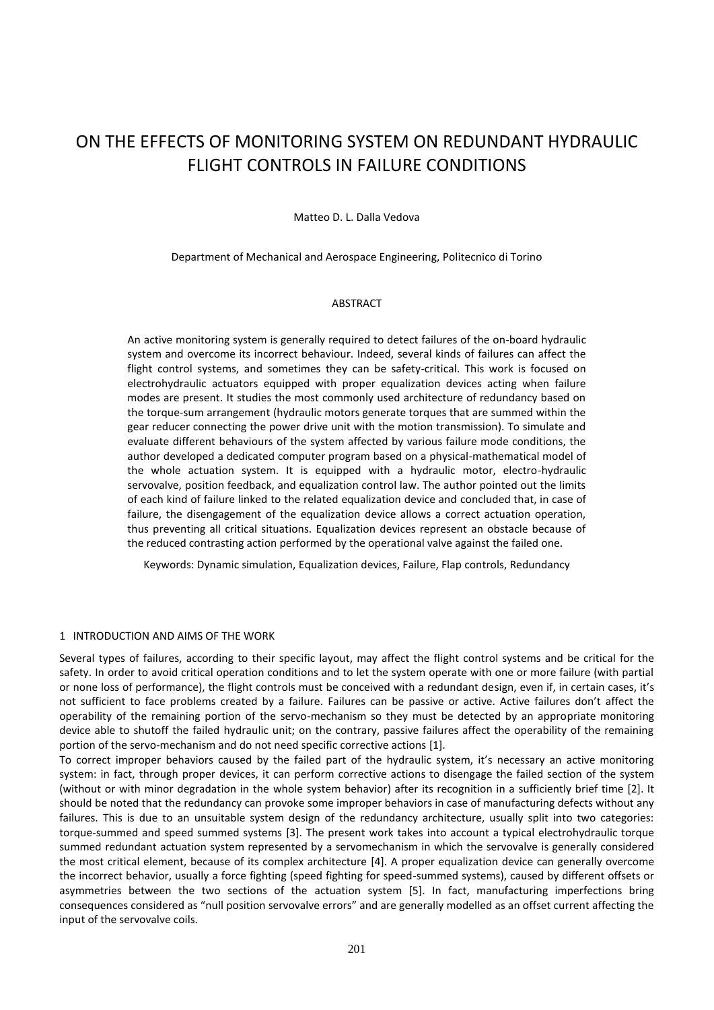# ON THE EFFECTS OF MONITORING SYSTEM ON REDUNDANT HYDRAULIC FLIGHT CONTROLS IN FAILURE CONDITIONS

### Matteo D. L. Dalla Vedova

Department of Mechanical and Aerospace Engineering, Politecnico di Torino

#### ABSTRACT

An active monitoring system is generally required to detect failures of the on-board hydraulic system and overcome its incorrect behaviour. Indeed, several kinds of failures can affect the flight control systems, and sometimes they can be safety-critical. This work is focused on electrohydraulic actuators equipped with proper equalization devices acting when failure modes are present. It studies the most commonly used architecture of redundancy based on the torque-sum arrangement (hydraulic motors generate torques that are summed within the gear reducer connecting the power drive unit with the motion transmission). To simulate and evaluate different behaviours of the system affected by various failure mode conditions, the author developed a dedicated computer program based on a physical-mathematical model of the whole actuation system. It is equipped with a hydraulic motor, electro-hydraulic servovalve, position feedback, and equalization control law. The author pointed out the limits of each kind of failure linked to the related equalization device and concluded that, in case of failure, the disengagement of the equalization device allows a correct actuation operation, thus preventing all critical situations. Equalization devices represent an obstacle because of the reduced contrasting action performed by the operational valve against the failed one.

Keywords: Dynamic simulation, Equalization devices, Failure, Flap controls, Redundancy

## 1 INTRODUCTION AND AIMS OF THE WORK

Several types of failures, according to their specific layout, may affect the flight control systems and be critical for the safety. In order to avoid critical operation conditions and to let the system operate with one or more failure (with partial or none loss of performance), the flight controls must be conceived with a redundant design, even if, in certain cases, it's not sufficient to face problems created by a failure. Failures can be passive or active. Active failures don't affect the operability of the remaining portion of the servo-mechanism so they must be detected by an appropriate monitoring device able to shutoff the failed hydraulic unit; on the contrary, passive failures affect the operability of the remaining portion of the servo-mechanism and do not need specific corrective actions [1].

To correct improper behaviors caused by the failed part of the hydraulic system, it's necessary an active monitoring system: in fact, through proper devices, it can perform corrective actions to disengage the failed section of the system (without or with minor degradation in the whole system behavior) after its recognition in a sufficiently brief time [2]. It should be noted that the redundancy can provoke some improper behaviors in case of manufacturing defects without any failures. This is due to an unsuitable system design of the redundancy architecture, usually split into two categories: torque-summed and speed summed systems [3]. The present work takes into account a typical electrohydraulic torque summed redundant actuation system represented by a servomechanism in which the servovalve is generally considered the most critical element, because of its complex architecture [4]. A proper equalization device can generally overcome the incorrect behavior, usually a force fighting (speed fighting for speed-summed systems), caused by different offsets or asymmetries between the two sections of the actuation system [5]. In fact, manufacturing imperfections bring consequences considered as "null position servovalve errors" and are generally modelled as an offset current affecting the input of the servovalve coils.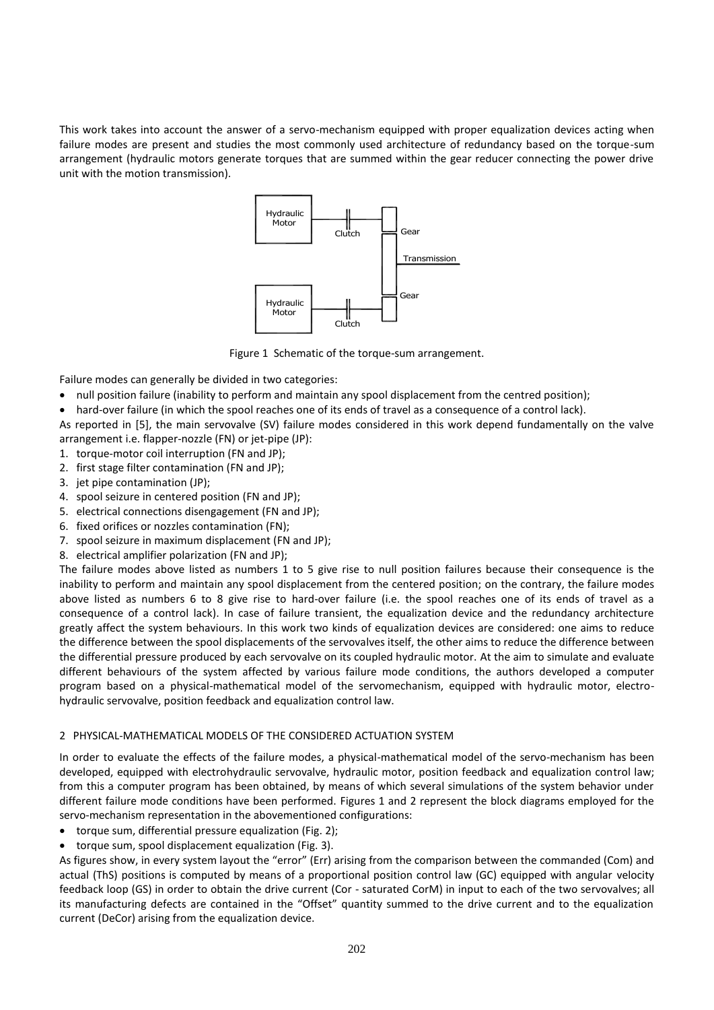This work takes into account the answer of a servo-mechanism equipped with proper equalization devices acting when failure modes are present and studies the most commonly used architecture of redundancy based on the torque-sum arrangement (hydraulic motors generate torques that are summed within the gear reducer connecting the power drive unit with the motion transmission).



Figure 1 Schematic of the torque-sum arrangement.

Failure modes can generally be divided in two categories:

- null position failure (inability to perform and maintain any spool displacement from the centred position);
- hard-over failure (in which the spool reaches one of its ends of travel as a consequence of a control lack).
- As reported in [5], the main servovalve (SV) failure modes considered in this work depend fundamentally on the valve arrangement i.e. flapper-nozzle (FN) or jet-pipe (JP):
- 1. torque-motor coil interruption (FN and JP);
- 2. first stage filter contamination (FN and JP);
- 3. jet pipe contamination (JP);
- 4. spool seizure in centered position (FN and JP);
- 5. electrical connections disengagement (FN and JP);
- 6. fixed orifices or nozzles contamination (FN);
- 7. spool seizure in maximum displacement (FN and JP);
- 8. electrical amplifier polarization (FN and JP);

The failure modes above listed as numbers 1 to 5 give rise to null position failures because their consequence is the inability to perform and maintain any spool displacement from the centered position; on the contrary, the failure modes above listed as numbers 6 to 8 give rise to hard-over failure (i.e. the spool reaches one of its ends of travel as a consequence of a control lack). In case of failure transient, the equalization device and the redundancy architecture greatly affect the system behaviours. In this work two kinds of equalization devices are considered: one aims to reduce the difference between the spool displacements of the servovalves itself, the other aims to reduce the difference between the differential pressure produced by each servovalve on its coupled hydraulic motor. At the aim to simulate and evaluate different behaviours of the system affected by various failure mode conditions, the authors developed a computer program based on a physical-mathematical model of the servomechanism, equipped with hydraulic motor, electrohydraulic servovalve, position feedback and equalization control law.

# 2 PHYSICAL-MATHEMATICAL MODELS OF THE CONSIDERED ACTUATION SYSTEM

In order to evaluate the effects of the failure modes, a physical-mathematical model of the servo-mechanism has been developed, equipped with electrohydraulic servovalve, hydraulic motor, position feedback and equalization control law; from this a computer program has been obtained, by means of which several simulations of the system behavior under different failure mode conditions have been performed. Figures 1 and 2 represent the block diagrams employed for the servo-mechanism representation in the abovementioned configurations:

- torque sum, differential pressure equalization (Fig. 2);
- torque sum, spool displacement equalization (Fig. 3).

As figures show, in every system layout the "error" (Err) arising from the comparison between the commanded (Com) and actual (ThS) positions is computed by means of a proportional position control law (GC) equipped with angular velocity feedback loop (GS) in order to obtain the drive current (Cor - saturated CorM) in input to each of the two servovalves; all its manufacturing defects are contained in the "Offset" quantity summed to the drive current and to the equalization current (DeCor) arising from the equalization device.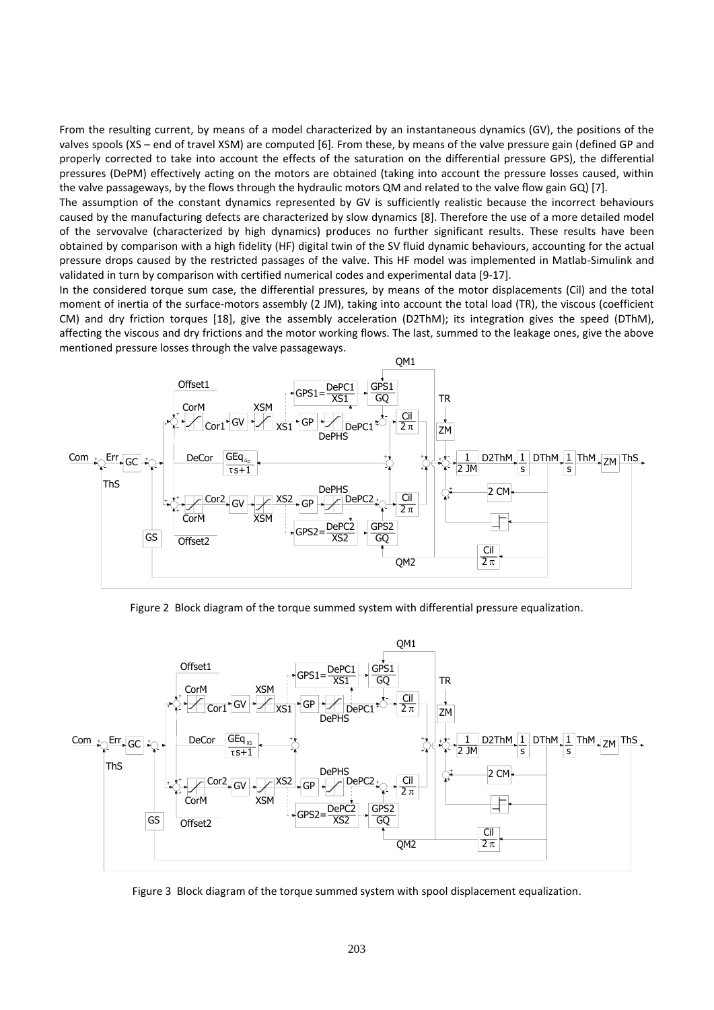From the resulting current, by means of a model characterized by an instantaneous dynamics (GV), the positions of the valves spools (XS – end of travel XSM) are computed [6]. From these, by means of the valve pressure gain (defined GP and properly corrected to take into account the effects of the saturation on the differential pressure GPS), the differential pressures (DePM) effectively acting on the motors are obtained (taking into account the pressure losses caused, within the valve passageways, by the flows through the hydraulic motors QM and related to the valve flow gain GQ) [7].

The assumption of the constant dynamics represented by GV is sufficiently realistic because the incorrect behaviours caused by the manufacturing defects are characterized by slow dynamics [8]. Therefore the use of a more detailed model of the servovalve (characterized by high dynamics) produces no further significant results. These results have been obtained by comparison with a high fidelity (HF) digital twin of the SV fluid dynamic behaviours, accounting for the actual pressure drops caused by the restricted passages of the valve. This HF model was implemented in Matlab-Simulink and validated in turn by comparison with certified numerical codes and experimental data [9-17].

In the considered torque sum case, the differential pressures, by means of the motor displacements (Cil) and the total moment of inertia of the surface-motors assembly (2 JM), taking into account the total load (TR), the viscous (coefficient CM) and dry friction torques [18], give the assembly acceleration (D2ThM); its integration gives the speed (DThM), affecting the viscous and dry frictions and the motor working flows. The last, summed to the leakage ones, give the above mentioned pressure losses through the valve passageways.



Figure 2 Block diagram of the torque summed system with differential pressure equalization.



Figure 3 Block diagram of the torque summed system with spool displacement equalization. with spool displacement equalization of the spool displacement of the spool displacement of the spool displacement of the spool of the spool displacement of the spool displacement of the spool displacement of the spool dis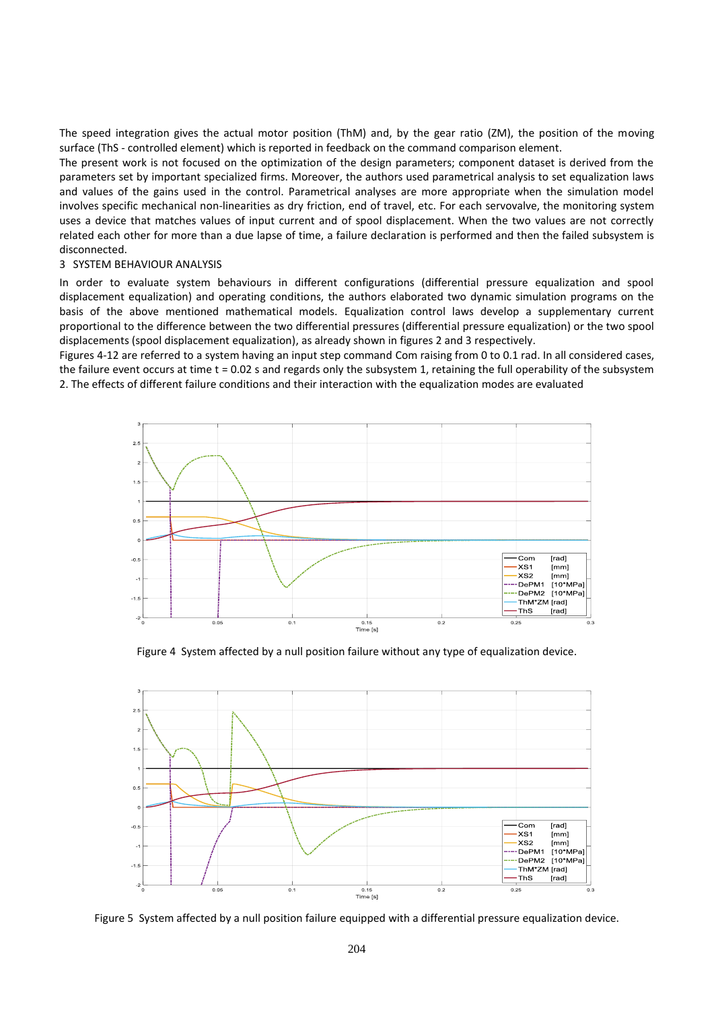The speed integration gives the actual motor position (ThM) and, by the gear ratio (ZM), the position of the moving surface (ThS - controlled element) which is reported in feedback on the command comparison element.

The present work is not focused on the optimization of the design parameters; component dataset is derived from the parameters set by important specialized firms. Moreover, the authors used parametrical analysis to set equalization laws and values of the gains used in the control. Parametrical analyses are more appropriate when the simulation model involves specific mechanical non-linearities as dry friction, end of travel, etc. For each servovalve, the monitoring system uses a device that matches values of input current and of spool displacement. When the two values are not correctly related each other for more than a due lapse of time, a failure declaration is performed and then the failed subsystem is disconnected.

## 3 SYSTEM BEHAVIOUR ANALYSIS

In order to evaluate system behaviours in different configurations (differential pressure equalization and spool displacement equalization) and operating conditions, the authors elaborated two dynamic simulation programs on the basis of the above mentioned mathematical models. Equalization control laws develop a supplementary current proportional to the difference between the two differential pressures (differential pressure equalization) or the two spool displacements (spool displacement equalization), as already shown in figures 2 and 3 respectively.

Figures 4-12 are referred to a system having an input step command Com raising from 0 to 0.1 rad. In all considered cases, the failure event occurs at time t = 0.02 s and regards only the subsystem 1, retaining the full operability of the subsystem 2. The effects of different failure conditions and their interaction with the equalization modes are evaluated



Figure 4 System affected by a null position failure without any type of equalization device.



Figure 5 System affected by a null position failure equipped with a differential pressure equalization device.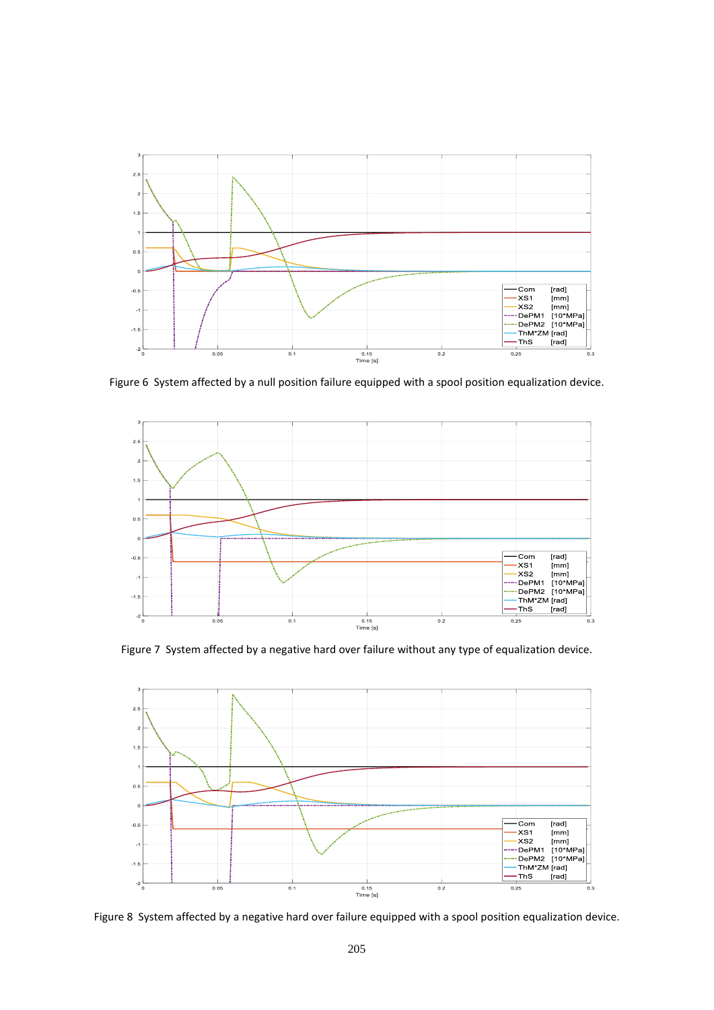

Figure 6 System affected by a null position failure equipped with a spool position equalization device.



Figure 7 System affected by a negative hard over failure without any type of equalization device.



Figure 8 System affected by a negative hard over failure equipped with a spool position equalization device.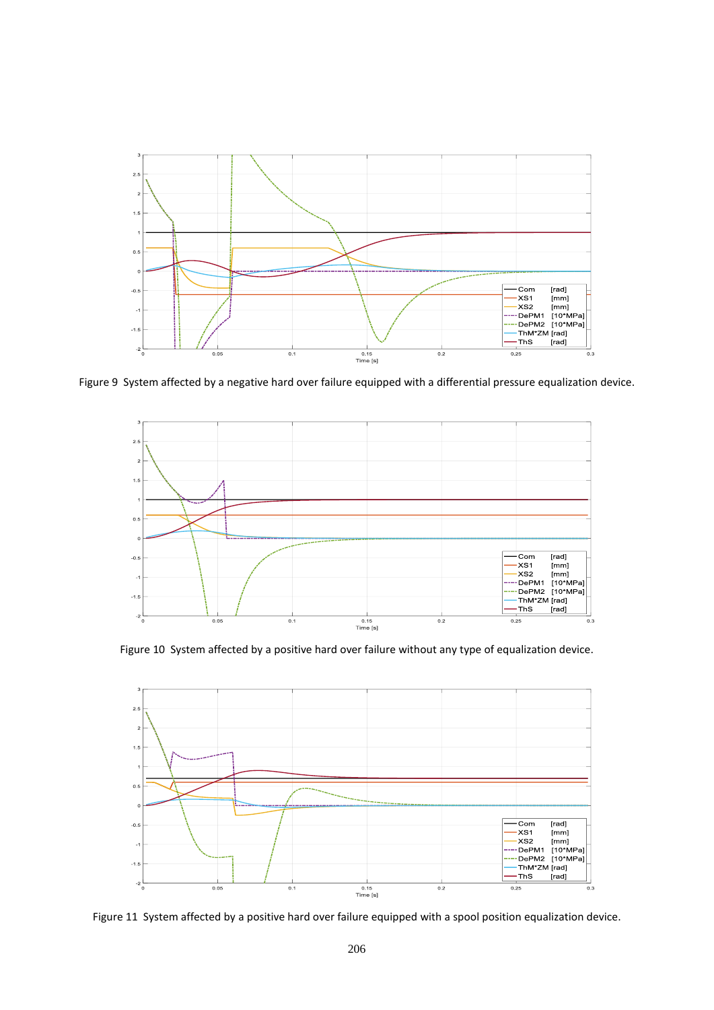

Figure 9 System affected by a negative hard over failure equipped with a differential pressure equalization device.



Figure 10 System affected by a positive hard over failure without any type of equalization device.



Figure 11 System affected by a positive hard over failure equipped with a spool position equalization device.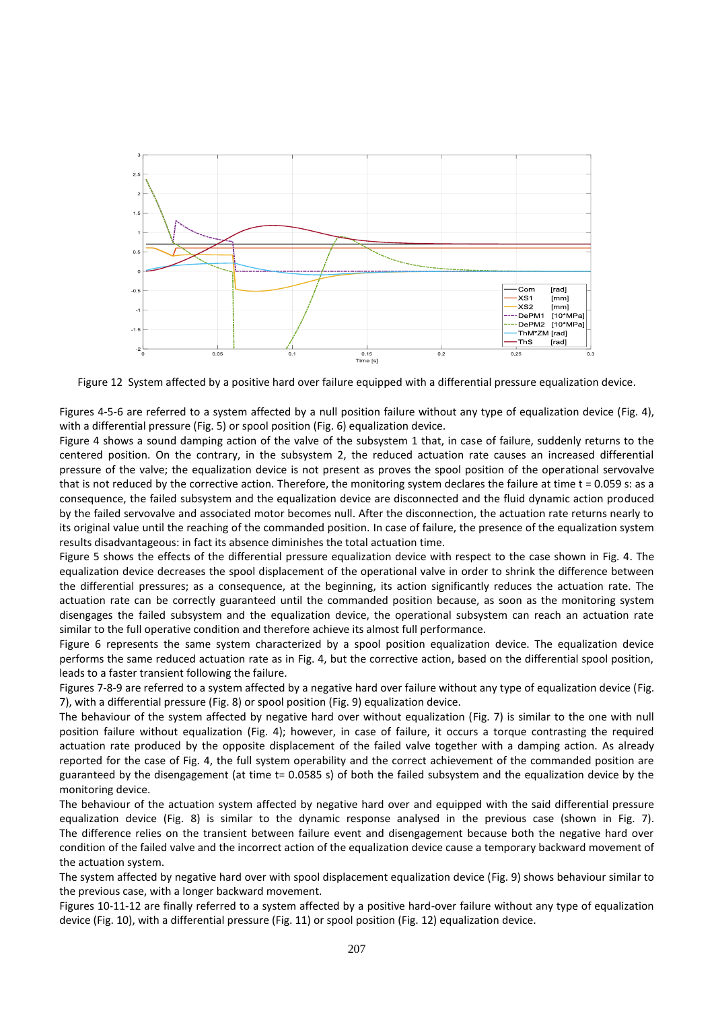

Figure 12 System affected by a positive hard over failure equipped with a differential pressure equalization device.

Figures 4-5-6 are referred to a system affected by a null position failure without any type of equalization device (Fig. 4), with a differential pressure (Fig. 5) or spool position (Fig. 6) equalization device.

Figure 4 shows a sound damping action of the valve of the subsystem 1 that, in case of failure, suddenly returns to the centered position. On the contrary, in the subsystem 2, the reduced actuation rate causes an increased differential pressure of the valve; the equalization device is not present as proves the spool position of the operational servovalve that is not reduced by the corrective action. Therefore, the monitoring system declares the failure at time t = 0.059 s: as a consequence, the failed subsystem and the equalization device are disconnected and the fluid dynamic action produced by the failed servovalve and associated motor becomes null. After the disconnection, the actuation rate returns nearly to its original value until the reaching of the commanded position. In case of failure, the presence of the equalization system results disadvantageous: in fact its absence diminishes the total actuation time.

Figure 5 shows the effects of the differential pressure equalization device with respect to the case shown in Fig. 4. The equalization device decreases the spool displacement of the operational valve in order to shrink the difference between the differential pressures; as a consequence, at the beginning, its action significantly reduces the actuation rate. The actuation rate can be correctly guaranteed until the commanded position because, as soon as the monitoring system disengages the failed subsystem and the equalization device, the operational subsystem can reach an actuation rate similar to the full operative condition and therefore achieve its almost full performance.

Figure 6 represents the same system characterized by a spool position equalization device. The equalization device performs the same reduced actuation rate as in Fig. 4, but the corrective action, based on the differential spool position, leads to a faster transient following the failure.

Figures 7-8-9 are referred to a system affected by a negative hard over failure without any type of equalization device (Fig. 7), with a differential pressure (Fig. 8) or spool position (Fig. 9) equalization device.

The behaviour of the system affected by negative hard over without equalization (Fig. 7) is similar to the one with null position failure without equalization (Fig. 4); however, in case of failure, it occurs a torque contrasting the required actuation rate produced by the opposite displacement of the failed valve together with a damping action. As already reported for the case of Fig. 4, the full system operability and the correct achievement of the commanded position are guaranteed by the disengagement (at time t= 0.0585 s) of both the failed subsystem and the equalization device by the monitoring device.

The behaviour of the actuation system affected by negative hard over and equipped with the said differential pressure equalization device (Fig. 8) is similar to the dynamic response analysed in the previous case (shown in Fig. 7). The difference relies on the transient between failure event and disengagement because both the negative hard over condition of the failed valve and the incorrect action of the equalization device cause a temporary backward movement of the actuation system.

The system affected by negative hard over with spool displacement equalization device (Fig. 9) shows behaviour similar to the previous case, with a longer backward movement.

Figures 10-11-12 are finally referred to a system affected by a positive hard-over failure without any type of equalization device (Fig. 10), with a differential pressure (Fig. 11) or spool position (Fig. 12) equalization device.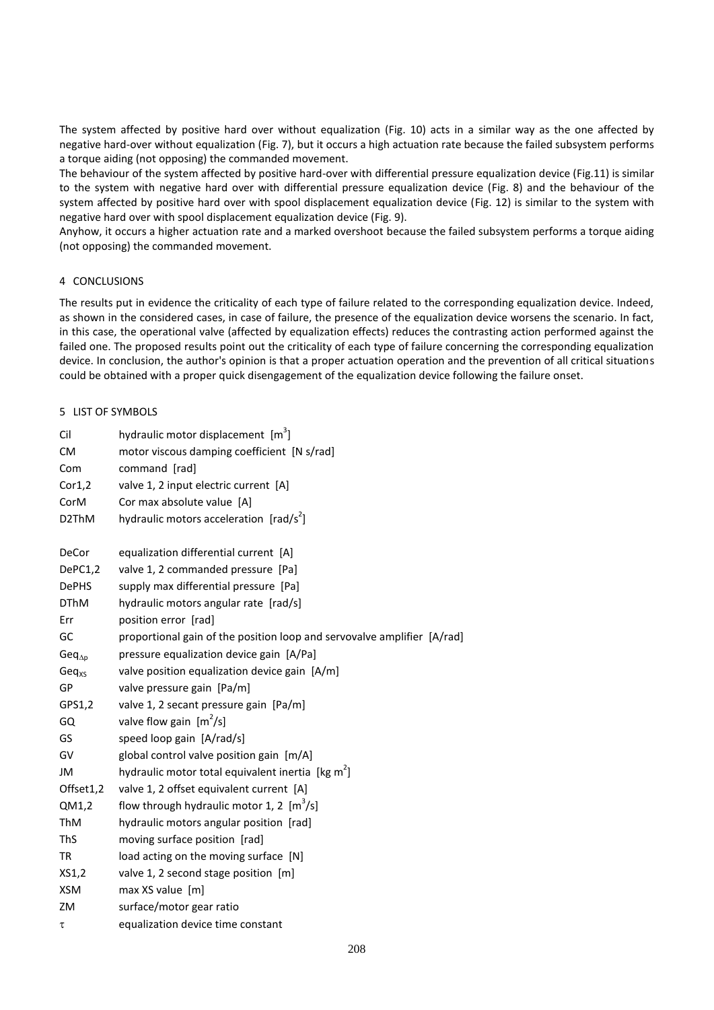The system affected by positive hard over without equalization (Fig. 10) acts in a similar way as the one affected by negative hard-over without equalization (Fig. 7), but it occurs a high actuation rate because the failed subsystem performs a torque aiding (not opposing) the commanded movement.

The behaviour of the system affected by positive hard-over with differential pressure equalization device (Fig.11) is similar to the system with negative hard over with differential pressure equalization device (Fig. 8) and the behaviour of the system affected by positive hard over with spool displacement equalization device (Fig. 12) is similar to the system with negative hard over with spool displacement equalization device (Fig. 9).

Anyhow, it occurs a higher actuation rate and a marked overshoot because the failed subsystem performs a torque aiding (not opposing) the commanded movement.

# 4 CONCLUSIONS

The results put in evidence the criticality of each type of failure related to the corresponding equalization device. Indeed, as shown in the considered cases, in case of failure, the presence of the equalization device worsens the scenario. In fact, in this case, the operational valve (affected by equalization effects) reduces the contrasting action performed against the failed one. The proposed results point out the criticality of each type of failure concerning the corresponding equalization device. In conclusion, the author's opinion is that a proper actuation operation and the prevention of all critical situations could be obtained with a proper quick disengagement of the equalization device following the failure onset.

# 5 LIST OF SYMBOLS

| Cil              | hydraulic motor displacement $[m3]$                                     |
|------------------|-------------------------------------------------------------------------|
| <b>CM</b>        | motor viscous damping coefficient [N s/rad]                             |
| Com              | command [rad]                                                           |
| Cor1,2           | valve 1, 2 input electric current [A]                                   |
| CorM             | Cor max absolute value [A]                                              |
| D2ThM            | hydraulic motors acceleration [rad/s <sup>2</sup> ]                     |
| DeCor            | equalization differential current [A]                                   |
| DePC1,2          | valve 1, 2 commanded pressure [Pa]                                      |
| <b>DePHS</b>     | supply max differential pressure [Pa]                                   |
| <b>DThM</b>      | hydraulic motors angular rate [rad/s]                                   |
| Err              | position error [rad]                                                    |
| GC               | proportional gain of the position loop and servovalve amplifier [A/rad] |
| $Geq_{\Delta p}$ | pressure equalization device gain [A/Pa]                                |
| $Geq_{XS}$       | valve position equalization device gain [A/m]                           |
| GP               | valve pressure gain [Pa/m]                                              |
| GPS1,2           | valve 1, 2 secant pressure gain [Pa/m]                                  |
| GQ               | valve flow gain $[m^2/s]$                                               |
| GS               | speed loop gain [A/rad/s]                                               |
| GV               | global control valve position gain [m/A]                                |
| JM               | hydraulic motor total equivalent inertia [kg m <sup>2</sup> ]           |
| Offset1,2        | valve 1, 2 offset equivalent current [A]                                |
| QM1,2            | flow through hydraulic motor 1, 2 $[m^3/s]$                             |
| ThM              | hydraulic motors angular position [rad]                                 |
| <b>ThS</b>       | moving surface position [rad]                                           |
| TR               | load acting on the moving surface [N]                                   |
| XS1,2            | valve 1, 2 second stage position [m]                                    |
| <b>XSM</b>       | max XS value [m]                                                        |
| ZM               | surface/motor gear ratio                                                |
| τ                | equalization device time constant                                       |